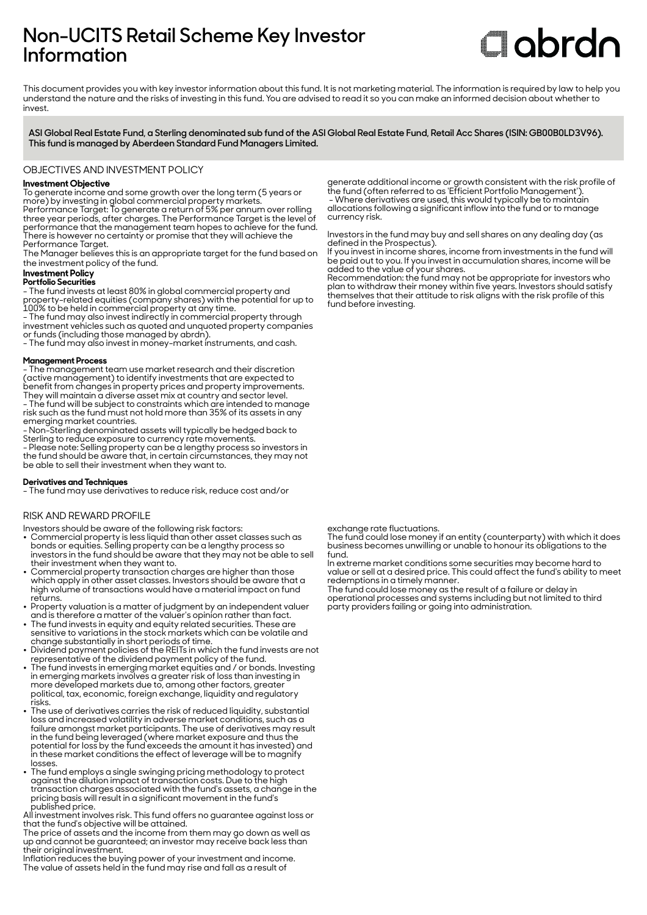# **Non-UCITS Retail Scheme Key Investor Information**

# **Clobrdn**

This document provides you with key investor information about this fund. It is not marketing material. The information is required by law to help you understand the nature and the risks of investing in this fund. You are advised to read it so you can make an informed decision about whether to invest

**ASI Global Real Estate Fund, a Sterling denominated sub fund of the ASI Global Real Estate Fund, Retail Acc Shares (ISIN: GB00B0LD3V96). This fund is managed by Aberdeen Standard Fund Managers Limited.**

OBJECTIVES AND INVESTMENT POLICY

# **Investment Objective**

To generate income and some growth over the long term (5 years or more) by investing in global commercial property markets.

Performance Target: To generate a return of 5% per annum over rolling three year periods, after charges. The Performance Target is the level of performance that the management team hopes to achieve for the fund. There is however no certainty or promise that they will achieve the Performance Target.

The Manager believes this is an appropriate target for the fund based on the investment policy of the fund.

#### **Investment Policy Portfolio Securities**

- The fund invests at least 80% in global commercial property and property-related equities (company shares) with the potential for up to 100% to be held in commercial property at any time.

- The fund may also invest indirectly in commercial property through investment vehicles such as quoted and unquoted property companies or funds (including those managed by abrdn).

- The fund may also invest in money-market instruments, and cash.

#### **Management Process**

- The management team use market research and their discretion (active management) to identify investments that are expected to benefit from changes in property prices and property improvements. They will maintain a diverse asset mix at country and sector level. - The fund will be subject to constraints which are intended to manage risk such as the fund must not hold more than 35% of its assets in any emerging market countries.

- Non-Sterling denominated assets will typically be hedged back to Sterling to reduce exposure to currency rate movements.

- Please note: Selling property can be a lengthy process so investors in the fund should be aware that, in certain circumstances, they may not be able to sell their investment when they want to.

#### **Derivatives and Techniques**

- The fund may use derivatives to reduce risk, reduce cost and/or

#### RISK AND REWARD PROFILE

Investors should be aware of the following risk factors:

- Commercial property is less liquid than other asset classes such as bonds or equities. Selling property can be a lengthy process so investors in the fund should be aware that they may not be able to sell their investment when they want to.
- Commercial property transaction charges are higher than those which apply in other asset classes. Investors should be aware that a high volume of transactions would have a material impact on fund returns.
- Property valuation is a matter of judgment by an independent valuer and is therefore a matter of the valuer's opinion rather than fact.
- The fund invests in equity and equity related securities. These are sensitive to variations in the stock markets which can be volatile and
- change substantially in short periods of time. 2 Dividend payment policies of the REITs in which the fund invests are not representative of the dividend payment policy of the fund.
- The fund invests in emerging market equities and / or bonds. Investing in emerging markets involves a greater risk of loss than investing in more developed markets due to, among other factors, greater political, tax, economic, foreign exchange, liquidity and regulatory risks.
- 2 The use of derivatives carries the risk of reduced liquidity, substantial loss and increased volatility in adverse market conditions, such as a failure amongst market participants. The use of derivatives may result in the fund being leveraged (where market exposure and thus the potential for loss by the fund exceeds the amount it has invested) and in these market conditions the effect of leverage will be to magnify losses.
- $\bullet~$  The fund employs a single swinging pricing methodology to protect against the dilution impact of transaction costs. Due to the high transaction charges associated with the fund's assets, a change in the pricing basis will result in a significant movement in the fund's published price.

All investment involves risk. This fund offers no guarantee against loss or that the fund's objective will be attained.

The price of assets and the income from them may go down as well as up and cannot be guaranteed; an investor may receive back less than their original investment.

Inflation reduces the buying power of your investment and income. The value of assets held in the fund may rise and fall as a result of

generate additional income or growth consistent with the risk profile of the fund (often referred to as 'Efficient Portfolio Management'). - Where derivatives are used, this would typically be to maintain allocations following a significant inflow into the fund or to manage currency risk.

Investors in the fund may buy and sell shares on any dealing day (as defined in the Prospectus).

If you invest in income shares, income from investments in the fund will be paid out to you. If you invest in accumulation shares, income will be added to the value of your shares.

Recommendation: the fund may not be appropriate for investors who plan to withdraw their money within five years. Investors should satisfy themselves that their attitude to risk aligns with the risk profile of this fund before investing.

exchange rate fluctuations.

The fund could lose money if an entity (counterparty) with which it does business becomes unwilling or unable to honour its obligations to the fund.

In extreme market conditions some securities may become hard to value or sell at a desired price. This could affect the fund's ability to meet redemptions in a timely manner.

The fund could lose money as the result of a failure or delay in operational processes and systems including but not limited to third party providers failing or going into administration.